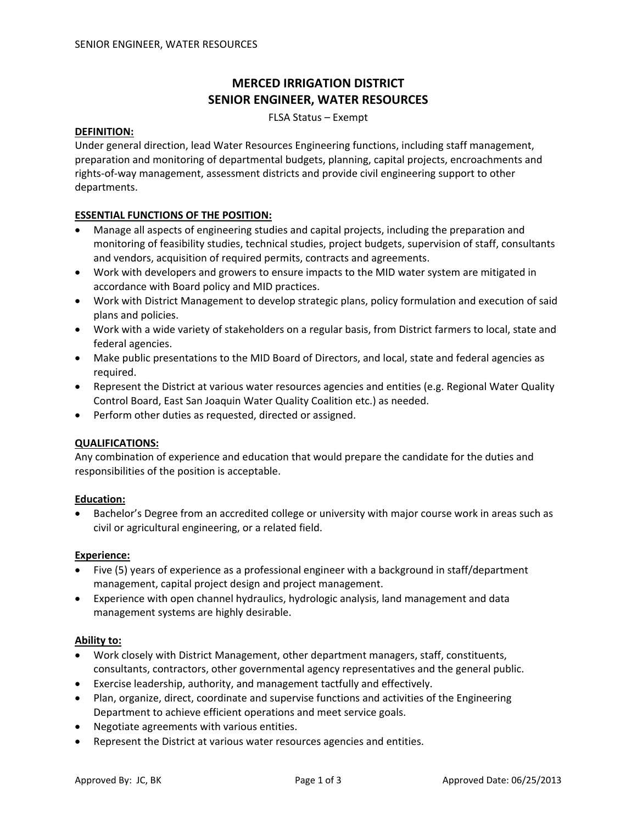# **MERCED IRRIGATION DISTRICT SENIOR ENGINEER, WATER RESOURCES**

FLSA Status – Exempt

### **DEFINITION:**

Under general direction, lead Water Resources Engineering functions, including staff management, preparation and monitoring of departmental budgets, planning, capital projects, encroachments and rights‐of‐way management, assessment districts and provide civil engineering support to other departments.

### **ESSENTIAL FUNCTIONS OF THE POSITION:**

- Manage all aspects of engineering studies and capital projects, including the preparation and monitoring of feasibility studies, technical studies, project budgets, supervision of staff, consultants and vendors, acquisition of required permits, contracts and agreements.
- Work with developers and growers to ensure impacts to the MID water system are mitigated in accordance with Board policy and MID practices.
- Work with District Management to develop strategic plans, policy formulation and execution of said plans and policies.
- Work with a wide variety of stakeholders on a regular basis, from District farmers to local, state and federal agencies.
- Make public presentations to the MID Board of Directors, and local, state and federal agencies as required.
- Represent the District at various water resources agencies and entities (e.g. Regional Water Quality Control Board, East San Joaquin Water Quality Coalition etc.) as needed.
- Perform other duties as requested, directed or assigned.

### **QUALIFICATIONS:**

Any combination of experience and education that would prepare the candidate for the duties and responsibilities of the position is acceptable.

### **Education:**

• Bachelor's Degree from an accredited college or university with major course work in areas such as civil or agricultural engineering, or a related field.

### **Experience:**

- Five (5) years of experience as a professional engineer with a background in staff/department management, capital project design and project management.
- Experience with open channel hydraulics, hydrologic analysis, land management and data management systems are highly desirable.

### **Ability to:**

- Work closely with District Management, other department managers, staff, constituents, consultants, contractors, other governmental agency representatives and the general public.
- Exercise leadership, authority, and management tactfully and effectively.
- Plan, organize, direct, coordinate and supervise functions and activities of the Engineering Department to achieve efficient operations and meet service goals.
- Negotiate agreements with various entities.
- Represent the District at various water resources agencies and entities.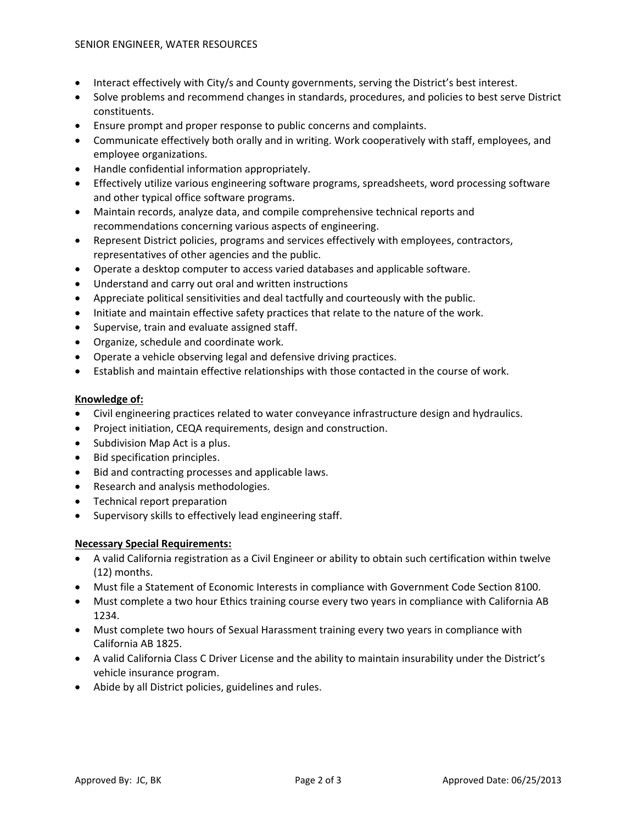- Interact effectively with City/s and County governments, serving the District's best interest.
- Solve problems and recommend changes in standards, procedures, and policies to best serve District constituents.
- Ensure prompt and proper response to public concerns and complaints.
- Communicate effectively both orally and in writing. Work cooperatively with staff, employees, and employee organizations.
- Handle confidential information appropriately.
- Effectively utilize various engineering software programs, spreadsheets, word processing software and other typical office software programs.
- Maintain records, analyze data, and compile comprehensive technical reports and recommendations concerning various aspects of engineering.
- Represent District policies, programs and services effectively with employees, contractors, representatives of other agencies and the public.
- Operate a desktop computer to access varied databases and applicable software.
- Understand and carry out oral and written instructions
- Appreciate political sensitivities and deal tactfully and courteously with the public.
- Initiate and maintain effective safety practices that relate to the nature of the work.
- Supervise, train and evaluate assigned staff.
- Organize, schedule and coordinate work.
- Operate a vehicle observing legal and defensive driving practices.
- Establish and maintain effective relationships with those contacted in the course of work.

# **Knowledge of:**

- Civil engineering practices related to water conveyance infrastructure design and hydraulics.
- Project initiation, CEQA requirements, design and construction.
- Subdivision Map Act is a plus.
- Bid specification principles.
- Bid and contracting processes and applicable laws.
- Research and analysis methodologies.
- Technical report preparation
- Supervisory skills to effectively lead engineering staff.

# **Necessary Special Requirements:**

- A valid California registration as a Civil Engineer or ability to obtain such certification within twelve (12) months.
- Must file a Statement of Economic Interests in compliance with Government Code Section 8100.
- Must complete a two hour Ethics training course every two years in compliance with California AB 1234.
- Must complete two hours of Sexual Harassment training every two years in compliance with California AB 1825.
- A valid California Class C Driver License and the ability to maintain insurability under the District's vehicle insurance program.
- Abide by all District policies, guidelines and rules.